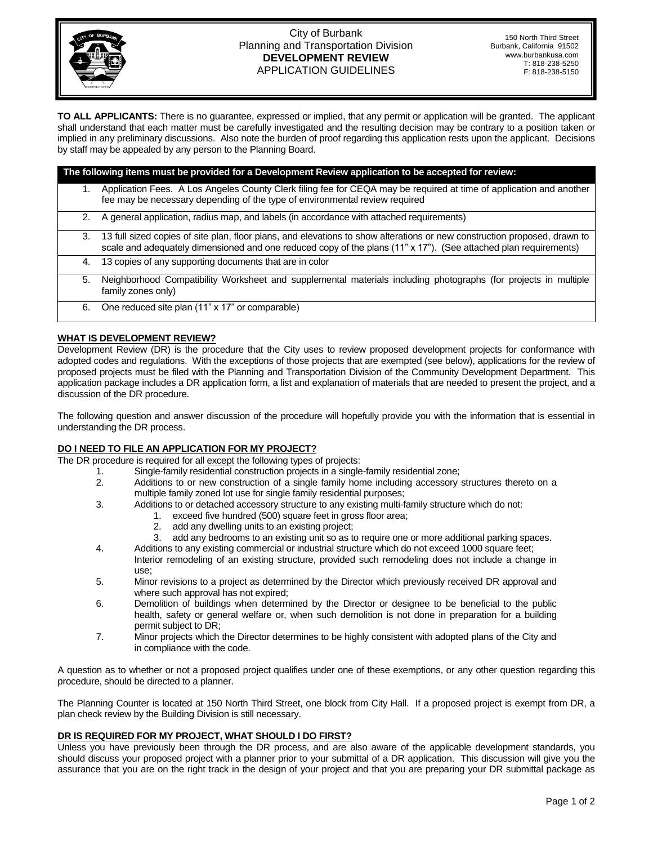

### City of Burbank Planning and Transportation Division **DEVELOPMENT REVIEW**  APPLICATION GUIDELINES

150 North Third Street Burbank, California 91502 www.burbankusa.com T: 818-238-5250 F: 818-238-5150

**TO ALL APPLICANTS:** There is no guarantee, expressed or implied, that any permit or application will be granted. The applicant shall understand that each matter must be carefully investigated and the resulting decision may be contrary to a position taken or implied in any preliminary discussions. Also note the burden of proof regarding this application rests upon the applicant. Decisions by staff may be appealed by any person to the Planning Board.

| The following items must be provided for a Development Review application to be accepted for review: |                                                                                                                                                                                                                                               |
|------------------------------------------------------------------------------------------------------|-----------------------------------------------------------------------------------------------------------------------------------------------------------------------------------------------------------------------------------------------|
|                                                                                                      | Application Fees. A Los Angeles County Clerk filing fee for CEQA may be required at time of application and another<br>fee may be necessary depending of the type of environmental review required                                            |
| 2.                                                                                                   | A general application, radius map, and labels (in accordance with attached requirements)                                                                                                                                                      |
| 3.                                                                                                   | 13 full sized copies of site plan, floor plans, and elevations to show alterations or new construction proposed, drawn to<br>scale and adequately dimensioned and one reduced copy of the plans (11" x 17"). (See attached plan requirements) |
| 4.                                                                                                   | 13 copies of any supporting documents that are in color                                                                                                                                                                                       |
| 5.                                                                                                   | Neighborhood Compatibility Worksheet and supplemental materials including photographs (for projects in multiple<br>family zones only)                                                                                                         |
| 6.                                                                                                   | One reduced site plan (11" x 17" or comparable)                                                                                                                                                                                               |

# **WHAT IS DEVELOPMENT REVIEW?**

Development Review (DR) is the procedure that the City uses to review proposed development projects for conformance with adopted codes and regulations. With the exceptions of those projects that are exempted (see below), applications for the review of proposed projects must be filed with the Planning and Transportation Division of the Community Development Department. This application package includes a DR application form, a list and explanation of materials that are needed to present the project, and a discussion of the DR procedure.

The following question and answer discussion of the procedure will hopefully provide you with the information that is essential in understanding the DR process.

## **DO I NEED TO FILE AN APPLICATION FOR MY PROJECT?**

The DR procedure is required for all except the following types of projects:

- 1. Single-family residential construction projects in a single-family residential zone;
- 2. Additions to or new construction of a single family home including accessory structures thereto on a multiple family zoned lot use for single family residential purposes;
- 3. Additions to or detached accessory structure to any existing multi-family structure which do not:
	- 1. exceed five hundred (500) square feet in gross floor area;
		- 2. add any dwelling units to an existing project;
		- 3. add any bedrooms to an existing unit so as to require one or more additional parking spaces.
- 4. Additions to any existing commercial or industrial structure which do not exceed 1000 square feet; Interior remodeling of an existing structure, provided such remodeling does not include a change in use;
- 5. Minor revisions to a project as determined by the Director which previously received DR approval and where such approval has not expired;
- 6. Demolition of buildings when determined by the Director or designee to be beneficial to the public health, safety or general welfare or, when such demolition is not done in preparation for a building permit subject to DR;
- 7. Minor projects which the Director determines to be highly consistent with adopted plans of the City and in compliance with the code.

A question as to whether or not a proposed project qualifies under one of these exemptions, or any other question regarding this procedure, should be directed to a planner.

The Planning Counter is located at 150 North Third Street, one block from City Hall. If a proposed project is exempt from DR, a plan check review by the Building Division is still necessary.

## **DR IS REQUIRED FOR MY PROJECT, WHAT SHOULD I DO FIRST?**

Unless you have previously been through the DR process, and are also aware of the applicable development standards, you should discuss your proposed project with a planner prior to your submittal of a DR application. This discussion will give you the assurance that you are on the right track in the design of your project and that you are preparing your DR submittal package as